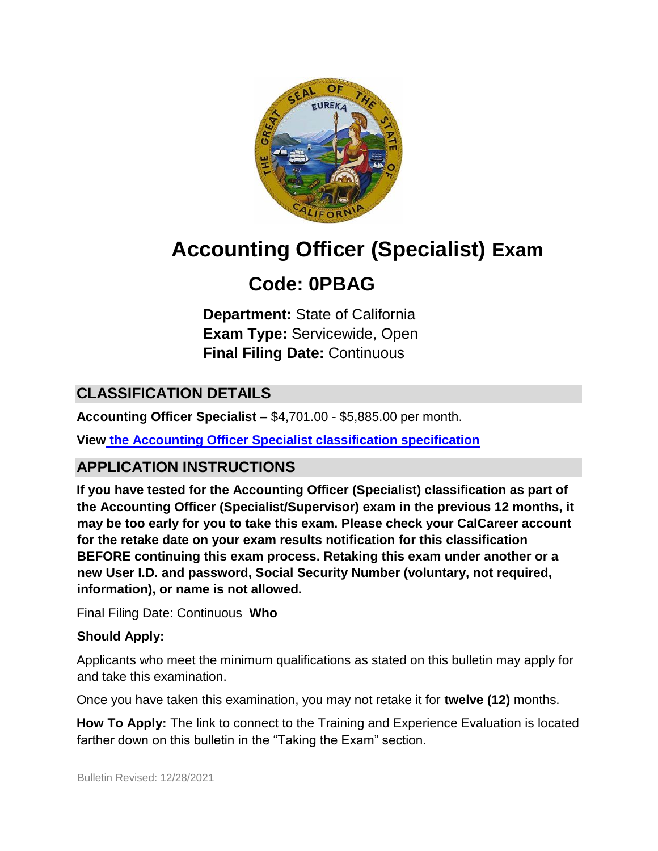

# **Accounting Officer (Specialist) Exam**

## **Code: 0PBAG**

**Department:** State of California **Exam Type:** Servicewide, Open **Final Filing Date:** Continuous

## **CLASSIFICATION DETAILS**

**Accounting Officer Specialist –** \$4,701.00 - \$5,885.00 per month.

**Vie[w](https://www.calhr.ca.gov/state-hr-professionals/pages/4179.aspx) [the Accounting Officer Specialist classification specification](https://www.calhr.ca.gov/state-hr-professionals/pages/4179.aspx)**

## **APPLICATION INSTRUCTIONS**

**If you have tested for the Accounting Officer (Specialist) classification as part of the Accounting Officer (Specialist/Supervisor) exam in the previous 12 months, it may be too early for you to take this exam. Please check your CalCareer account for the retake date on your exam results notification for this classification BEFORE continuing this exam process. Retaking this exam under another or a new User I.D. and password, Social Security Number (voluntary, not required, information), or name is not allowed.**

Final Filing Date: Continuous **Who** 

#### **Should Apply:**

Applicants who meet the minimum qualifications as stated on this bulletin may apply for and take this examination.

Once you have taken this examination, you may not retake it for **twelve (12)** months.

**How To Apply:** The link to connect to the Training and Experience Evaluation is located farther down on this bulletin in the "Taking the Exam" section.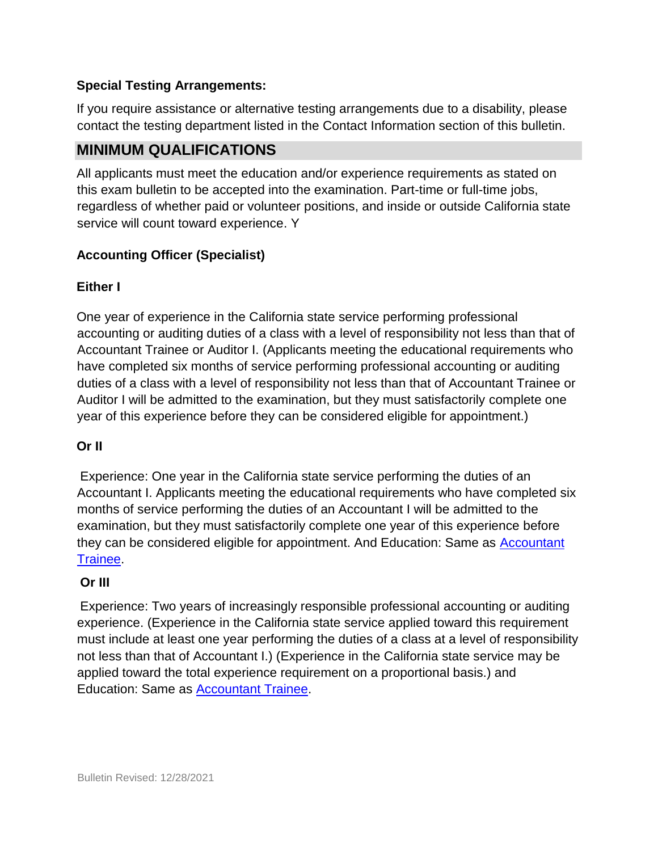#### **Special Testing Arrangements:**

If you require assistance or alternative testing arrangements due to a disability, please contact the testing department listed in the Contact Information section of this bulletin.

## **MINIMUM QUALIFICATIONS**

All applicants must meet the education and/or experience requirements as stated on this exam bulletin to be accepted into the examination. Part-time or full-time jobs, regardless of whether paid or volunteer positions, and inside or outside California state service will count toward experience. Y

#### **Accounting Officer (Specialist)**

#### **Either I**

One year of experience in the California state service performing professional accounting or auditing duties of a class with a level of responsibility not less than that of Accountant Trainee or Auditor I. (Applicants meeting the educational requirements who have completed six months of service performing professional accounting or auditing duties of a class with a level of responsibility not less than that of Accountant Trainee or Auditor I will be admitted to the examination, but they must satisfactorily complete one year of this experience before they can be considered eligible for appointment.)

#### **Or II**

Experience: One year in the California state service performing the duties of an Accountant I. Applicants meeting the educational requirements who have completed six months of service performing the duties of an Accountant I will be admitted to the examination, but they must satisfactorily complete one year of this experience before they can be considered eligible for appointment. And Education: Same as **Accountant** [Trainee.](https://www.calhr.ca.gov/state-hr-professionals/pages/4179.aspx)

#### **Or III**

Experience: Two years of increasingly responsible professional accounting or auditing experience. (Experience in the California state service applied toward this requirement must include at least one year performing the duties of a class at a level of responsibility not less than that of Accountant I.) (Experience in the California state service may be applied toward the total experience requirement on a proportional basis.) and Education: Same as **Accountant Trainee.**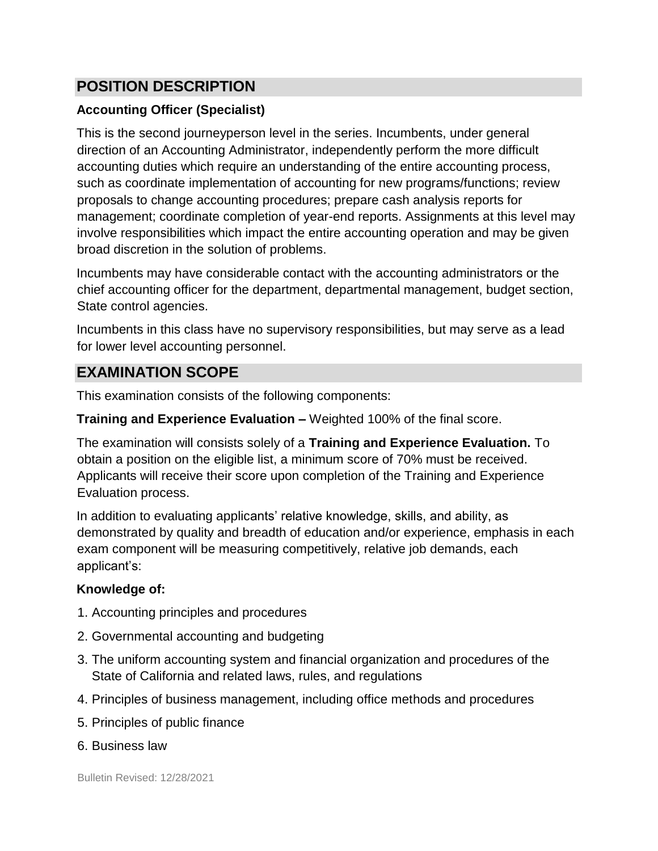## **POSITION DESCRIPTION**

#### **Accounting Officer (Specialist)**

This is the second journeyperson level in the series. Incumbents, under general direction of an Accounting Administrator, independently perform the more difficult accounting duties which require an understanding of the entire accounting process, such as coordinate implementation of accounting for new programs/functions; review proposals to change accounting procedures; prepare cash analysis reports for management; coordinate completion of year-end reports. Assignments at this level may involve responsibilities which impact the entire accounting operation and may be given broad discretion in the solution of problems.

Incumbents may have considerable contact with the accounting administrators or the chief accounting officer for the department, departmental management, budget section, State control agencies.

Incumbents in this class have no supervisory responsibilities, but may serve as a lead for lower level accounting personnel.

## **EXAMINATION SCOPE**

This examination consists of the following components:

#### **Training and Experience Evaluation –** Weighted 100% of the final score.

The examination will consists solely of a **Training and Experience Evaluation.** To obtain a position on the eligible list, a minimum score of 70% must be received. Applicants will receive their score upon completion of the Training and Experience Evaluation process.

In addition to evaluating applicants' relative knowledge, skills, and ability, as demonstrated by quality and breadth of education and/or experience, emphasis in each exam component will be measuring competitively, relative job demands, each applicant's:

#### **Knowledge of:**

- 1. Accounting principles and procedures
- 2. Governmental accounting and budgeting
- 3. The uniform accounting system and financial organization and procedures of the State of California and related laws, rules, and regulations
- 4. Principles of business management, including office methods and procedures
- 5. Principles of public finance
- 6. Business law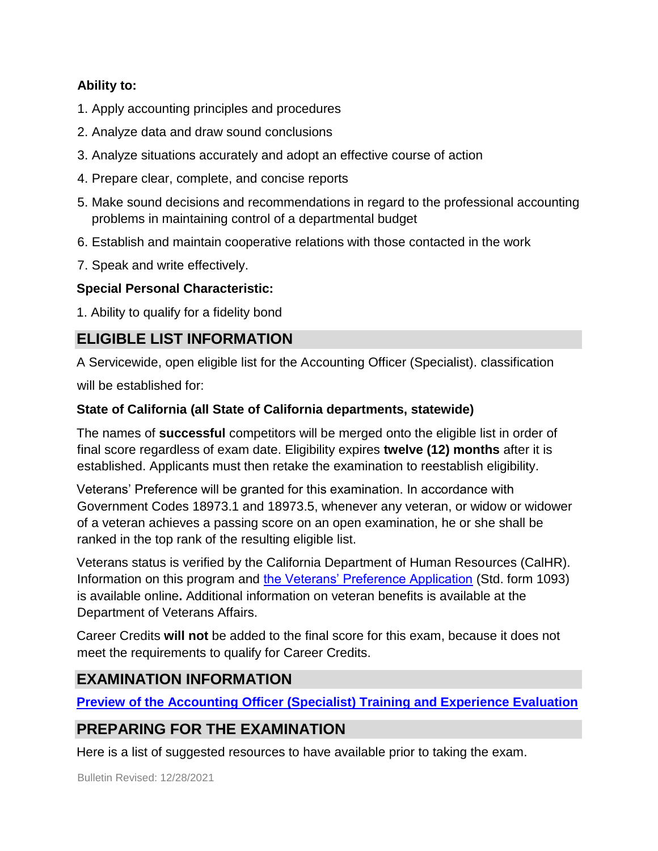#### **Ability to:**

- 1. Apply accounting principles and procedures
- 2. Analyze data and draw sound conclusions
- 3. Analyze situations accurately and adopt an effective course of action
- 4. Prepare clear, complete, and concise reports
- 5. Make sound decisions and recommendations in regard to the professional accounting problems in maintaining control of a departmental budget
- 6. Establish and maintain cooperative relations with those contacted in the work
- 7. Speak and write effectively.

#### **Special Personal Characteristic:**

1. Ability to qualify for a fidelity bond

## **ELIGIBLE LIST INFORMATION**

A Servicewide, open eligible list for the Accounting Officer (Specialist). classification

will be established for:

#### **State of California (all State of California departments, statewide)**

The names of **successful** competitors will be merged onto the eligible list in order of final score regardless of exam date. Eligibility expires **twelve (12) months** after it is established. Applicants must then retake the examination to reestablish eligibility.

Veterans' Preference will be granted for this examination. In accordance with Government Codes 18973.1 and 18973.5, whenever any veteran, or widow or widower of a veteran achieves a passing score on an open examination, he or she shall be ranked in the top rank of the resulting eligible list.

Veterans status is verified by the California Department of Human Resources (CalHR). Information on this program and [the Veterans' Preference Application](https://www.jobs.ca.gov/CalHRPublic/Landing/Jobs/VeteransInformation.aspx) [\(](https://www.jobs.ca.gov/CalHRPublic/Landing/Jobs/VeteransInformation.aspx)Std. form 1093) is available online**.** Additional information on veteran benefits is available at the Department of Veterans Affairs.

Career Credits **will not** be added to the final score for this exam, because it does not meet the requirements to qualify for Career Credits.

## **EXAMINATION INFORMATION**

**[Preview of the](https://jobs.ca.gov/jobsgen/0PBAGA.pdf) [Accounting Officer \(Specialist\)](https://jobs.ca.gov/jobsgen/0PBAGA.pdf) [Training and Experience Evaluation](https://jobs.ca.gov/jobsgen/0PBAGA.pdf)**

## **PREPARING FOR THE EXAMINATION**

Here is a list of suggested resources to have available prior to taking the exam.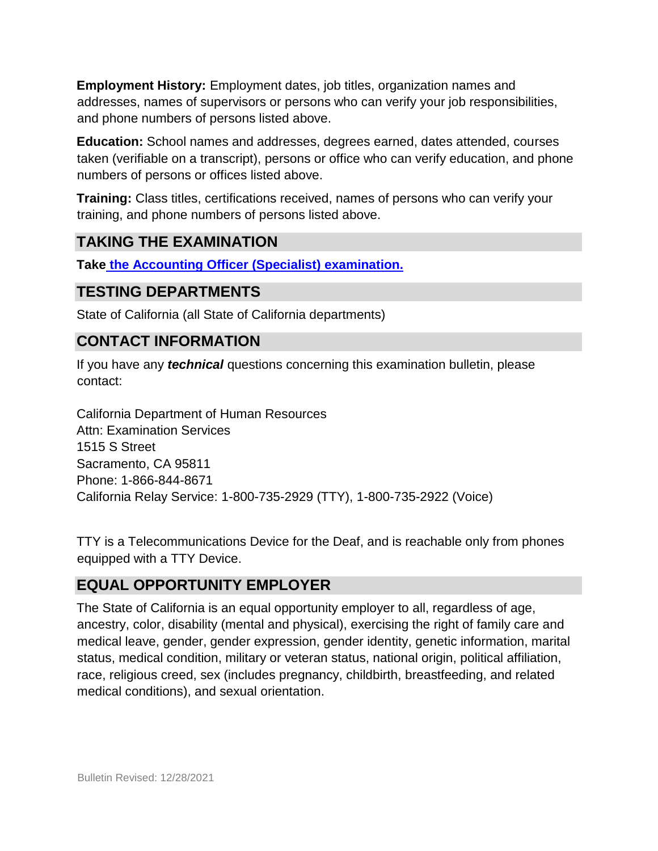**Employment History:** Employment dates, job titles, organization names and addresses, names of supervisors or persons who can verify your job responsibilities, and phone numbers of persons listed above.

**Education:** School names and addresses, degrees earned, dates attended, courses taken (verifiable on a transcript), persons or office who can verify education, and phone numbers of persons or offices listed above.

**Training:** Class titles, certifications received, names of persons who can verify your training, and phone numbers of persons listed above.

## **TAKING THE EXAMINATION**

**Tak[e](https://www.jobs.ca.gov/CalHRPublic/Login.aspx?ExamId=0PBAG) [the Accounting Officer \(Specialist\)](https://www.jobs.ca.gov/CalHRPublic/Login.aspx?ExamId=0PBAG) [examination.](https://www.jobs.ca.gov/CalHRPublic/Login.aspx?ExamId=0PBAG)**

#### **TESTING DEPARTMENTS**

State of California (all State of California departments)

## **CONTACT INFORMATION**

If you have any *technical* questions concerning this examination bulletin, please contact:

California Department of Human Resources Attn: Examination Services 1515 S Street Sacramento, CA 95811 Phone: 1-866-844-8671 California Relay Service: 1-800-735-2929 (TTY), 1-800-735-2922 (Voice)

TTY is a Telecommunications Device for the Deaf, and is reachable only from phones equipped with a TTY Device.

## **EQUAL OPPORTUNITY EMPLOYER**

The State of California is an equal opportunity employer to all, regardless of age, ancestry, color, disability (mental and physical), exercising the right of family care and medical leave, gender, gender expression, gender identity, genetic information, marital status, medical condition, military or veteran status, national origin, political affiliation, race, religious creed, sex (includes pregnancy, childbirth, breastfeeding, and related medical conditions), and sexual orientation.